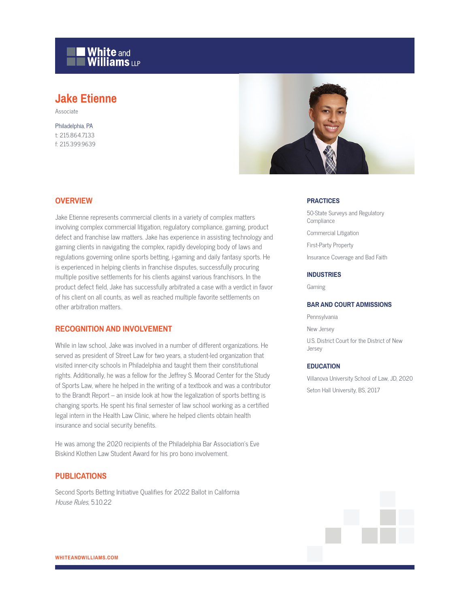

# **Jake Etienne**

Associate

Philadelphia, PA t: 215.864.7133 f: 215.399.9639



#### **OVERVIEW**

Jake Etienne represents commercial clients in a variety of complex matters involving complex commercial litigation, regulatory compliance, gaming, product defect and franchise law matters. Jake has experience in assisting technology and gaming clients in navigating the complex, rapidly developing body of laws and regulations governing online sports betting, i-gaming and daily fantasy sports. He is experienced in helping clients in franchise disputes, successfully procuring multiple positive settlements for his clients against various franchisors. In the product defect field, Jake has successfully arbitrated a case with a verdict in favor of his client on all counts, as well as reached multiple favorite settlements on other arbitration matters.

## **RECOGNITION AND INVOLVEMENT**

While in law school, Jake was involved in a number of different organizations. He served as president of Street Law for two years, a student-led organization that visited inner-city schools in Philadelphia and taught them their constitutional rights. Additionally, he was a fellow for the Jeffrey S. Moorad Center for the Study of Sports Law, where he helped in the writing of a textbook and was a contributor to the Brandt Report – an inside look at how the legalization of sports betting is changing sports. He spent his final semester of law school working as a certified legal intern in the Health Law Clinic, where he helped clients obtain health insurance and social security benefits.

He was among the 2020 recipients of the Philadelphia Bar Association's Eve Biskind Klothen Law Student Award for his pro bono involvement.

### **PUBLICATIONS**

Second Sports Betting Initiative Qualifies for 2022 Ballot in California House Rules, 5.10.22

#### **PRACTICES**

50-State Surveys and Regulatory **Compliance** Commercial Litigation First-Party Property Insurance Coverage and Bad Faith

#### **INDUSTRIES**

Gaming

#### **BAR AND COURT ADMISSIONS**

Pennsylvania New Jersey U.S. District Court for the District of New Jersey

#### **EDUCATION**

Villanova University School of Law, JD, 2020 Seton Hall University, BS, 2017